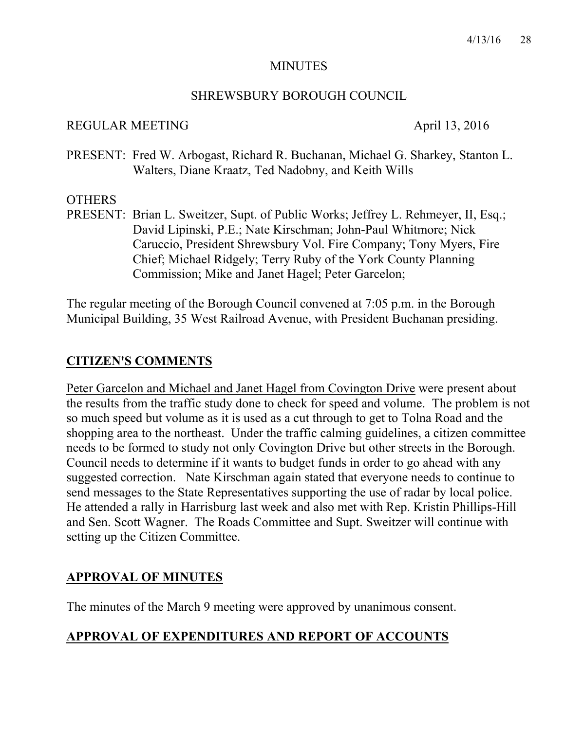#### MINUTES

#### SHREWSBURY BOROUGH COUNCIL

#### REGULAR MEETING April 13, 2016

PRESENT: Fred W. Arbogast, Richard R. Buchanan, Michael G. Sharkey, Stanton L. Walters, Diane Kraatz, Ted Nadobny, and Keith Wills

### **OTHERS**

PRESENT: Brian L. Sweitzer, Supt. of Public Works; Jeffrey L. Rehmeyer, II, Esq.; David Lipinski, P.E.; Nate Kirschman; John-Paul Whitmore; Nick Caruccio, President Shrewsbury Vol. Fire Company; Tony Myers, Fire Chief; Michael Ridgely; Terry Ruby of the York County Planning Commission; Mike and Janet Hagel; Peter Garcelon;

The regular meeting of the Borough Council convened at 7:05 p.m. in the Borough Municipal Building, 35 West Railroad Avenue, with President Buchanan presiding.

# **CITIZEN'S COMMENTS**

Peter Garcelon and Michael and Janet Hagel from Covington Drive were present about the results from the traffic study done to check for speed and volume. The problem is not so much speed but volume as it is used as a cut through to get to Tolna Road and the shopping area to the northeast. Under the traffic calming guidelines, a citizen committee needs to be formed to study not only Covington Drive but other streets in the Borough. Council needs to determine if it wants to budget funds in order to go ahead with any suggested correction. Nate Kirschman again stated that everyone needs to continue to send messages to the State Representatives supporting the use of radar by local police. He attended a rally in Harrisburg last week and also met with Rep. Kristin Phillips-Hill and Sen. Scott Wagner. The Roads Committee and Supt. Sweitzer will continue with setting up the Citizen Committee.

# **APPROVAL OF MINUTES**

The minutes of the March 9 meeting were approved by unanimous consent.

# **APPROVAL OF EXPENDITURES AND REPORT OF ACCOUNTS**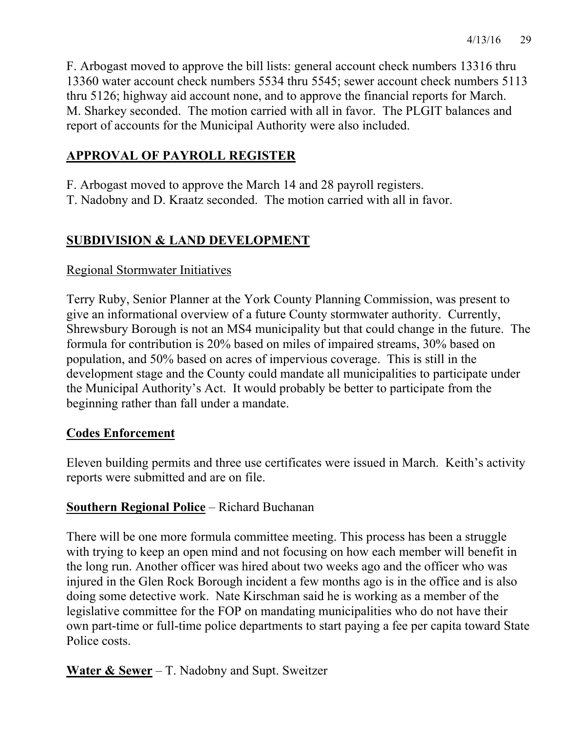F. Arbogast moved to approve the bill lists: general account check numbers 13316 thru 13360 water account check numbers 5534 thru 5545; sewer account check numbers 5113 thru 5126; highway aid account none, and to approve the financial reports for March. M. Sharkey seconded. The motion carried with all in favor. The PLGIT balances and report of accounts for the Municipal Authority were also included.

# **APPROVAL OF PAYROLL REGISTER**

- F. Arbogast moved to approve the March 14 and 28 payroll registers.
- T. Nadobny and D. Kraatz seconded. The motion carried with all in favor.

# **SUBDIVISION & LAND DEVELOPMENT**

# Regional Stormwater Initiatives

Terry Ruby, Senior Planner at the York County Planning Commission, was present to give an informational overview of a future County stormwater authority. Currently, Shrewsbury Borough is not an MS4 municipality but that could change in the future. The formula for contribution is 20% based on miles of impaired streams, 30% based on population, and 50% based on acres of impervious coverage. This is still in the development stage and the County could mandate all municipalities to participate under the Municipal Authority's Act. It would probably be better to participate from the beginning rather than fall under a mandate.

# **Codes Enforcement**

Eleven building permits and three use certificates were issued in March. Keith's activity reports were submitted and are on file.

# **Southern Regional Police** – Richard Buchanan

There will be one more formula committee meeting. This process has been a struggle with trying to keep an open mind and not focusing on how each member will benefit in the long run. Another officer was hired about two weeks ago and the officer who was injured in the Glen Rock Borough incident a few months ago is in the office and is also doing some detective work. Nate Kirschman said he is working as a member of the legislative committee for the FOP on mandating municipalities who do not have their own part-time or full-time police departments to start paying a fee per capita toward State Police costs.

**Water & Sewer** – T. Nadobny and Supt. Sweitzer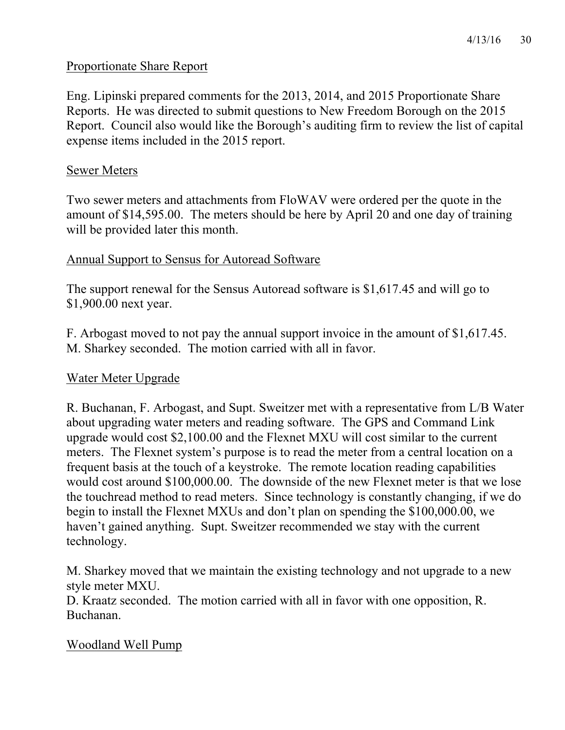#### Proportionate Share Report

Eng. Lipinski prepared comments for the 2013, 2014, and 2015 Proportionate Share Reports. He was directed to submit questions to New Freedom Borough on the 2015 Report. Council also would like the Borough's auditing firm to review the list of capital expense items included in the 2015 report.

#### Sewer Meters

Two sewer meters and attachments from FloWAV were ordered per the quote in the amount of \$14,595.00. The meters should be here by April 20 and one day of training will be provided later this month.

#### Annual Support to Sensus for Autoread Software

The support renewal for the Sensus Autoread software is \$1,617.45 and will go to \$1,900.00 next year.

F. Arbogast moved to not pay the annual support invoice in the amount of \$1,617.45. M. Sharkey seconded. The motion carried with all in favor.

#### Water Meter Upgrade

R. Buchanan, F. Arbogast, and Supt. Sweitzer met with a representative from L/B Water about upgrading water meters and reading software. The GPS and Command Link upgrade would cost \$2,100.00 and the Flexnet MXU will cost similar to the current meters. The Flexnet system's purpose is to read the meter from a central location on a frequent basis at the touch of a keystroke. The remote location reading capabilities would cost around \$100,000.00. The downside of the new Flexnet meter is that we lose the touchread method to read meters. Since technology is constantly changing, if we do begin to install the Flexnet MXUs and don't plan on spending the \$100,000.00, we haven't gained anything. Supt. Sweitzer recommended we stay with the current technology.

M. Sharkey moved that we maintain the existing technology and not upgrade to a new style meter MXU.

D. Kraatz seconded. The motion carried with all in favor with one opposition, R. Buchanan.

#### Woodland Well Pump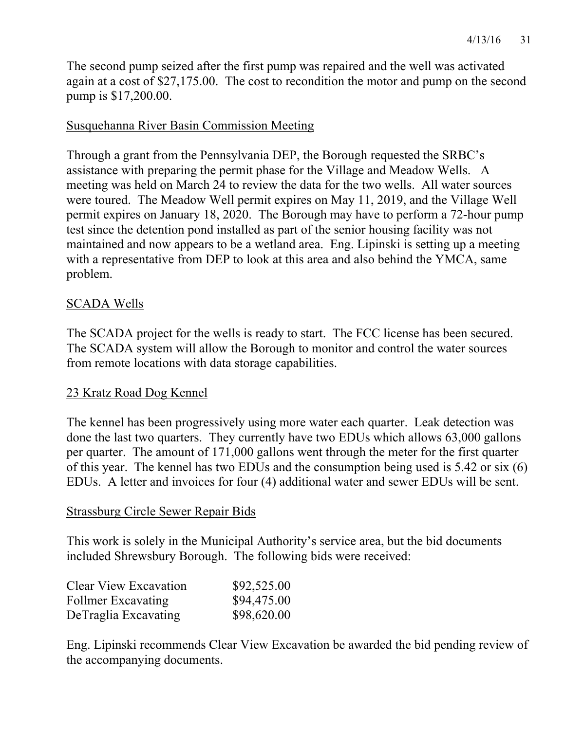The second pump seized after the first pump was repaired and the well was activated again at a cost of \$27,175.00. The cost to recondition the motor and pump on the second pump is \$17,200.00.

#### Susquehanna River Basin Commission Meeting

Through a grant from the Pennsylvania DEP, the Borough requested the SRBC's assistance with preparing the permit phase for the Village and Meadow Wells. A meeting was held on March 24 to review the data for the two wells. All water sources were toured. The Meadow Well permit expires on May 11, 2019, and the Village Well permit expires on January 18, 2020. The Borough may have to perform a 72-hour pump test since the detention pond installed as part of the senior housing facility was not maintained and now appears to be a wetland area. Eng. Lipinski is setting up a meeting with a representative from DEP to look at this area and also behind the YMCA, same problem.

#### SCADA Wells

The SCADA project for the wells is ready to start. The FCC license has been secured. The SCADA system will allow the Borough to monitor and control the water sources from remote locations with data storage capabilities.

#### 23 Kratz Road Dog Kennel

The kennel has been progressively using more water each quarter. Leak detection was done the last two quarters. They currently have two EDUs which allows 63,000 gallons per quarter. The amount of 171,000 gallons went through the meter for the first quarter of this year. The kennel has two EDUs and the consumption being used is 5.42 or six (6) EDUs. A letter and invoices for four (4) additional water and sewer EDUs will be sent.

#### Strassburg Circle Sewer Repair Bids

This work is solely in the Municipal Authority's service area, but the bid documents included Shrewsbury Borough. The following bids were received:

| Clear View Excavation     | \$92,525.00 |
|---------------------------|-------------|
| <b>Follmer Excavating</b> | \$94,475.00 |
| DeTraglia Excavating      | \$98,620.00 |

Eng. Lipinski recommends Clear View Excavation be awarded the bid pending review of the accompanying documents.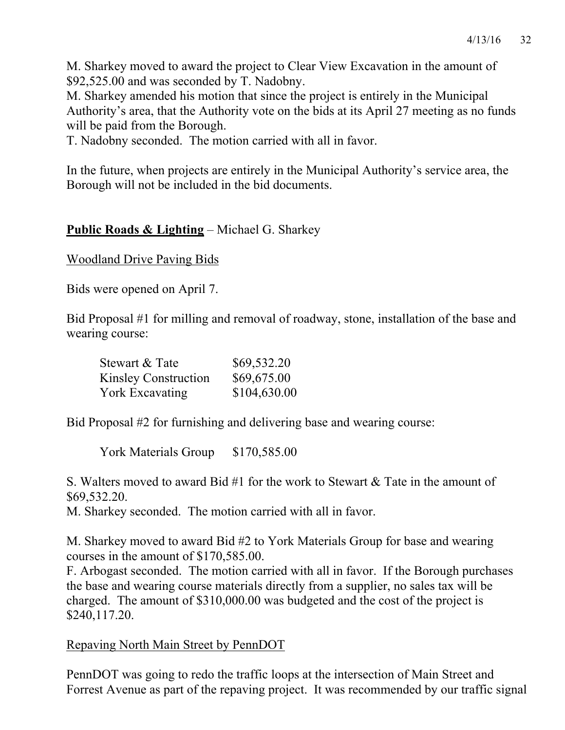M. Sharkey moved to award the project to Clear View Excavation in the amount of \$92,525.00 and was seconded by T. Nadobny.

M. Sharkey amended his motion that since the project is entirely in the Municipal Authority's area, that the Authority vote on the bids at its April 27 meeting as no funds will be paid from the Borough.

T. Nadobny seconded. The motion carried with all in favor.

In the future, when projects are entirely in the Municipal Authority's service area, the Borough will not be included in the bid documents.

# **Public Roads & Lighting** – Michael G. Sharkey

Woodland Drive Paving Bids

Bids were opened on April 7.

Bid Proposal #1 for milling and removal of roadway, stone, installation of the base and wearing course:

| Stewart & Tate              | \$69,532.20  |
|-----------------------------|--------------|
| <b>Kinsley Construction</b> | \$69,675.00  |
| York Excavating             | \$104,630.00 |

Bid Proposal #2 for furnishing and delivering base and wearing course:

York Materials Group \$170,585.00

S. Walters moved to award Bid #1 for the work to Stewart & Tate in the amount of \$69,532.20.

M. Sharkey seconded. The motion carried with all in favor.

M. Sharkey moved to award Bid #2 to York Materials Group for base and wearing courses in the amount of \$170,585.00.

F. Arbogast seconded. The motion carried with all in favor. If the Borough purchases the base and wearing course materials directly from a supplier, no sales tax will be charged. The amount of \$310,000.00 was budgeted and the cost of the project is \$240,117.20.

# Repaving North Main Street by PennDOT

PennDOT was going to redo the traffic loops at the intersection of Main Street and Forrest Avenue as part of the repaving project. It was recommended by our traffic signal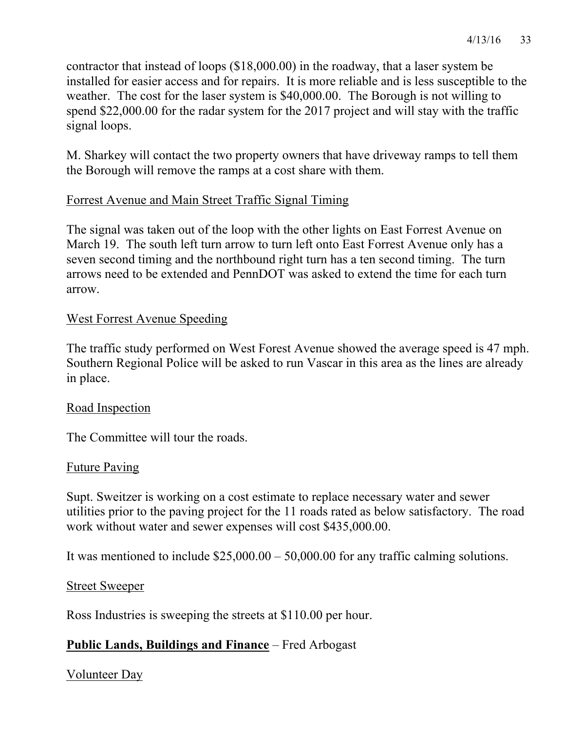contractor that instead of loops (\$18,000.00) in the roadway, that a laser system be installed for easier access and for repairs. It is more reliable and is less susceptible to the weather. The cost for the laser system is \$40,000.00. The Borough is not willing to spend \$22,000.00 for the radar system for the 2017 project and will stay with the traffic signal loops.

M. Sharkey will contact the two property owners that have driveway ramps to tell them the Borough will remove the ramps at a cost share with them.

### Forrest Avenue and Main Street Traffic Signal Timing

The signal was taken out of the loop with the other lights on East Forrest Avenue on March 19. The south left turn arrow to turn left onto East Forrest Avenue only has a seven second timing and the northbound right turn has a ten second timing. The turn arrows need to be extended and PennDOT was asked to extend the time for each turn arrow.

### West Forrest Avenue Speeding

The traffic study performed on West Forest Avenue showed the average speed is 47 mph. Southern Regional Police will be asked to run Vascar in this area as the lines are already in place.

#### Road Inspection

The Committee will tour the roads.

#### Future Paving

Supt. Sweitzer is working on a cost estimate to replace necessary water and sewer utilities prior to the paving project for the 11 roads rated as below satisfactory. The road work without water and sewer expenses will cost \$435,000.00.

It was mentioned to include \$25,000.00 – 50,000.00 for any traffic calming solutions.

#### Street Sweeper

Ross Industries is sweeping the streets at \$110.00 per hour.

# **Public Lands, Buildings and Finance** – Fred Arbogast

Volunteer Day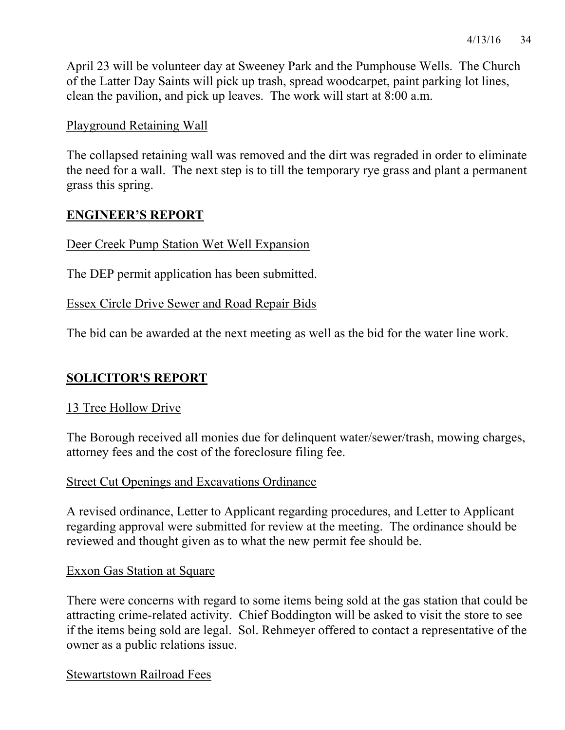April 23 will be volunteer day at Sweeney Park and the Pumphouse Wells. The Church of the Latter Day Saints will pick up trash, spread woodcarpet, paint parking lot lines, clean the pavilion, and pick up leaves. The work will start at 8:00 a.m.

#### Playground Retaining Wall

The collapsed retaining wall was removed and the dirt was regraded in order to eliminate the need for a wall. The next step is to till the temporary rye grass and plant a permanent grass this spring.

#### **ENGINEER'S REPORT**

#### Deer Creek Pump Station Wet Well Expansion

The DEP permit application has been submitted.

#### Essex Circle Drive Sewer and Road Repair Bids

The bid can be awarded at the next meeting as well as the bid for the water line work.

# **SOLICITOR'S REPORT**

#### 13 Tree Hollow Drive

The Borough received all monies due for delinquent water/sewer/trash, mowing charges, attorney fees and the cost of the foreclosure filing fee.

#### Street Cut Openings and Excavations Ordinance

A revised ordinance, Letter to Applicant regarding procedures, and Letter to Applicant regarding approval were submitted for review at the meeting. The ordinance should be reviewed and thought given as to what the new permit fee should be.

#### Exxon Gas Station at Square

There were concerns with regard to some items being sold at the gas station that could be attracting crime-related activity. Chief Boddington will be asked to visit the store to see if the items being sold are legal. Sol. Rehmeyer offered to contact a representative of the owner as a public relations issue.

Stewartstown Railroad Fees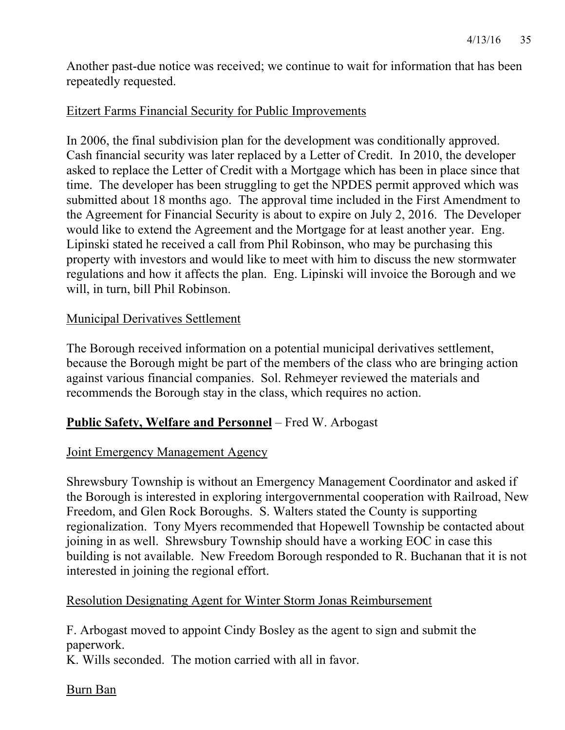Another past-due notice was received; we continue to wait for information that has been repeatedly requested.

### Eitzert Farms Financial Security for Public Improvements

In 2006, the final subdivision plan for the development was conditionally approved. Cash financial security was later replaced by a Letter of Credit. In 2010, the developer asked to replace the Letter of Credit with a Mortgage which has been in place since that time. The developer has been struggling to get the NPDES permit approved which was submitted about 18 months ago. The approval time included in the First Amendment to the Agreement for Financial Security is about to expire on July 2, 2016. The Developer would like to extend the Agreement and the Mortgage for at least another year. Eng. Lipinski stated he received a call from Phil Robinson, who may be purchasing this property with investors and would like to meet with him to discuss the new stormwater regulations and how it affects the plan. Eng. Lipinski will invoice the Borough and we will, in turn, bill Phil Robinson.

#### Municipal Derivatives Settlement

The Borough received information on a potential municipal derivatives settlement, because the Borough might be part of the members of the class who are bringing action against various financial companies. Sol. Rehmeyer reviewed the materials and recommends the Borough stay in the class, which requires no action.

#### **Public Safety, Welfare and Personnel** – Fred W. Arbogast

#### Joint Emergency Management Agency

Shrewsbury Township is without an Emergency Management Coordinator and asked if the Borough is interested in exploring intergovernmental cooperation with Railroad, New Freedom, and Glen Rock Boroughs. S. Walters stated the County is supporting regionalization. Tony Myers recommended that Hopewell Township be contacted about joining in as well. Shrewsbury Township should have a working EOC in case this building is not available. New Freedom Borough responded to R. Buchanan that it is not interested in joining the regional effort.

#### Resolution Designating Agent for Winter Storm Jonas Reimbursement

F. Arbogast moved to appoint Cindy Bosley as the agent to sign and submit the paperwork.

K. Wills seconded. The motion carried with all in favor.

Burn Ban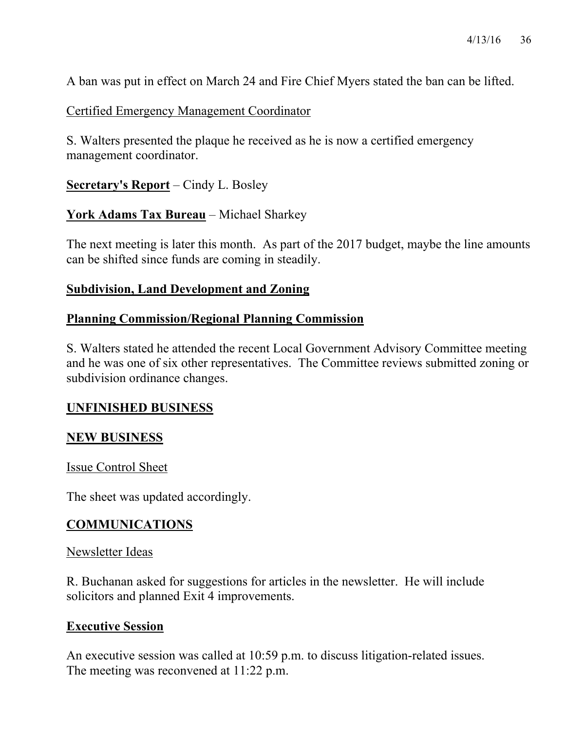A ban was put in effect on March 24 and Fire Chief Myers stated the ban can be lifted.

Certified Emergency Management Coordinator

S. Walters presented the plaque he received as he is now a certified emergency management coordinator.

**Secretary's Report** – Cindy L. Bosley

**York Adams Tax Bureau** – Michael Sharkey

The next meeting is later this month. As part of the 2017 budget, maybe the line amounts can be shifted since funds are coming in steadily.

#### **Subdivision, Land Development and Zoning**

### **Planning Commission/Regional Planning Commission**

S. Walters stated he attended the recent Local Government Advisory Committee meeting and he was one of six other representatives. The Committee reviews submitted zoning or subdivision ordinance changes.

#### **UNFINISHED BUSINESS**

#### **NEW BUSINESS**

Issue Control Sheet

The sheet was updated accordingly.

#### **COMMUNICATIONS**

#### Newsletter Ideas

R. Buchanan asked for suggestions for articles in the newsletter. He will include solicitors and planned Exit 4 improvements.

#### **Executive Session**

An executive session was called at 10:59 p.m. to discuss litigation-related issues. The meeting was reconvened at 11:22 p.m.